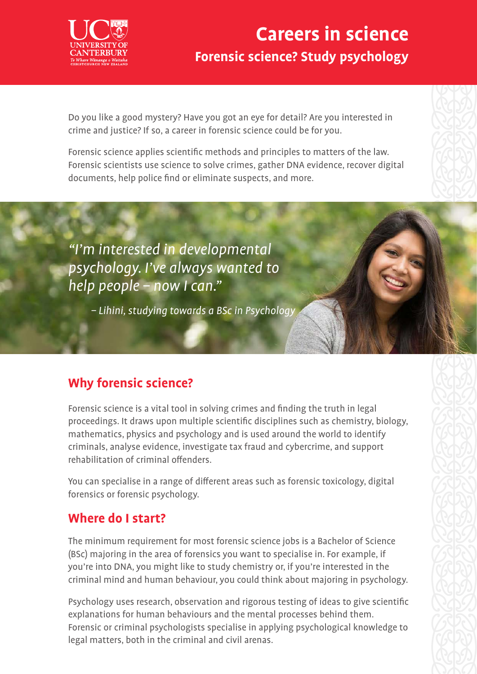

## **Careers in science Forensic science? Study psychology**

Do you like a good mystery? Have you got an eye for detail? Are you interested in crime and justice? If so, a career in forensic science could be for you.

Forensic science applies scientific methods and principles to matters of the law. Forensic scientists use science to solve crimes, gather DNA evidence, recover digital documents, help police find or eliminate suspects, and more.

"I'm interested in developmental psychology. I've always wanted to help people - now I can."

– Lihini, studying towards a BSc in Psychology

### **Why forensic science?**

Forensic science is a vital tool in solving crimes and finding the truth in legal proceedings. It draws upon multiple scientific disciplines such as chemistry, biology, mathematics, physics and psychology and is used around the world to identify criminals, analyse evidence, investigate tax fraud and cybercrime, and support rehabilitation of criminal offenders.

You can specialise in a range of different areas such as forensic toxicology, digital forensics or forensic psychology.

#### **Where do I start?**

The minimum requirement for most forensic science jobs is a Bachelor of Science (BSc) majoring in the area of forensics you want to specialise in. For example, if you're into DNA, you might like to study chemistry or, if you're interested in the criminal mind and human behaviour, you could think about majoring in psychology.

Psychology uses research, observation and rigorous testing of ideas to give scientific explanations for human behaviours and the mental processes behind them. Forensic or criminal psychologists specialise in applying psychological knowledge to legal matters, both in the criminal and civil arenas.